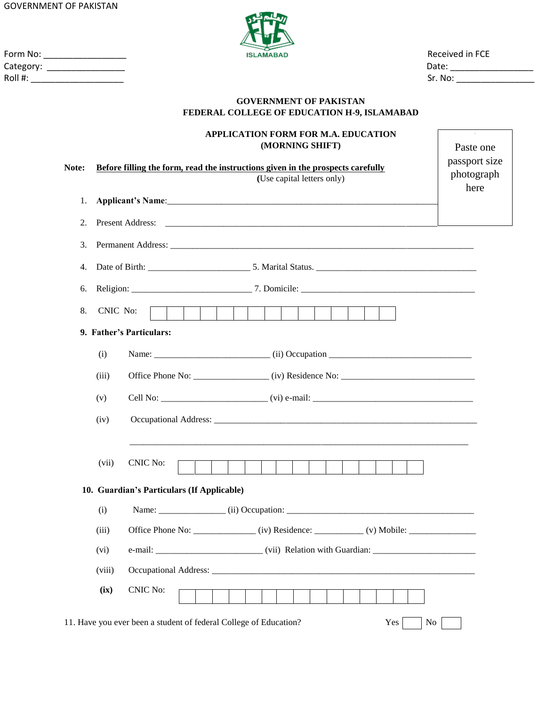GOVERNMENT OF PAKISTAN



Form No: \_\_\_\_\_\_\_\_\_\_\_\_\_\_\_\_\_ Received in FCE Category: \_\_\_\_\_\_\_\_\_\_\_\_\_\_\_\_ Date: \_\_\_\_\_\_\_\_\_\_\_\_\_\_\_\_\_ Roll #: \_\_\_\_\_\_\_\_\_\_\_\_\_\_\_\_\_\_\_ Sr. No: \_\_\_\_\_\_\_\_\_\_\_\_\_\_\_\_

# **GOVERNMENT OF PAKISTAN FEDERAL COLLEGE OF EDUCATION H-9, ISLAMABAD**

|       |          | <b>APPLICATION FORM FOR M.A. EDUCATION</b><br>(MORNING SHIFT)                                                 | Paste one<br>passport size |  |  |  |  |  |  |
|-------|----------|---------------------------------------------------------------------------------------------------------------|----------------------------|--|--|--|--|--|--|
| Note: |          | Before filling the form, read the instructions given in the prospects carefully<br>(Use capital letters only) | photograph                 |  |  |  |  |  |  |
| 1.    |          |                                                                                                               | here                       |  |  |  |  |  |  |
| 2.    |          |                                                                                                               |                            |  |  |  |  |  |  |
| 3.    |          |                                                                                                               |                            |  |  |  |  |  |  |
| 4.    |          |                                                                                                               |                            |  |  |  |  |  |  |
| 6.    |          |                                                                                                               |                            |  |  |  |  |  |  |
| 8.    | CNIC No: | $\vert \ \ \vert$                                                                                             |                            |  |  |  |  |  |  |
|       |          | 9. Father's Particulars:                                                                                      |                            |  |  |  |  |  |  |
|       | (i)      |                                                                                                               |                            |  |  |  |  |  |  |
|       | (iii)    | Office Phone No: ________________(iv) Residence No: _____________________________                             |                            |  |  |  |  |  |  |
|       | (v)      |                                                                                                               |                            |  |  |  |  |  |  |
|       | (iv)     |                                                                                                               |                            |  |  |  |  |  |  |
|       | (vii)    | <b>CNIC No:</b><br>$\mathbf{L}$                                                                               |                            |  |  |  |  |  |  |
|       |          | 10. Guardian's Particulars (If Applicable)                                                                    |                            |  |  |  |  |  |  |
|       | (i)      | Name: (ii) Occupation:                                                                                        |                            |  |  |  |  |  |  |
|       | (iii)    | Office Phone No: _____________(iv) Residence: __________(v) Mobile: _                                         |                            |  |  |  |  |  |  |
|       | (vi)     |                                                                                                               |                            |  |  |  |  |  |  |
|       | (viii)   |                                                                                                               |                            |  |  |  |  |  |  |
|       | (ix)     | <b>CNIC No:</b>                                                                                               |                            |  |  |  |  |  |  |
|       |          | 11. Have you ever been a student of federal College of Education?<br>Yes<br>No                                |                            |  |  |  |  |  |  |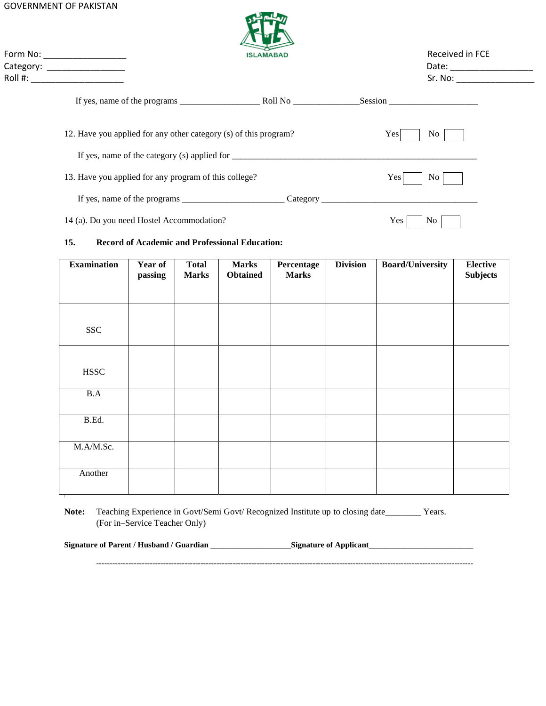#### GOVERNMENT OF PAKISTAN



Form No: \_\_\_\_\_\_\_\_\_\_\_\_\_\_\_\_\_ Received in FCE Category: \_\_\_\_\_\_\_\_\_\_\_\_\_\_\_\_ Date: \_\_\_\_\_\_\_\_\_\_\_\_\_\_\_\_\_

| Roll # | .No |
|--------|-----|
|        |     |

|                                                                  | Session           |
|------------------------------------------------------------------|-------------------|
| 12. Have you applied for any other category (s) of this program? | Yes<br>No.        |
|                                                                  |                   |
| 13. Have you applied for any program of this college?            | <b>Yes</b><br>No. |
|                                                                  |                   |
| 14 (a). Do you need Hostel Accommodation?                        | Yes<br>No.        |

### **15. Record of Academic and Professional Education:**

| <b>Examination</b> | Year of<br>passing | <b>Total</b><br><b>Marks</b> | <b>Marks</b><br><b>Obtained</b> | Percentage<br><b>Marks</b> | <b>Division</b> | <b>Board/University</b> | <b>Elective</b><br><b>Subjects</b> |
|--------------------|--------------------|------------------------------|---------------------------------|----------------------------|-----------------|-------------------------|------------------------------------|
|                    |                    |                              |                                 |                            |                 |                         |                                    |
| <b>SSC</b>         |                    |                              |                                 |                            |                 |                         |                                    |
| <b>HSSC</b>        |                    |                              |                                 |                            |                 |                         |                                    |
| B.A                |                    |                              |                                 |                            |                 |                         |                                    |
| B.Ed.              |                    |                              |                                 |                            |                 |                         |                                    |
| M.A/M.Sc.          |                    |                              |                                 |                            |                 |                         |                                    |
| Another            |                    |                              |                                 |                            |                 |                         |                                    |

Note: Teaching Experience in Govt/Semi Govt/ Recognized Institute up to closing date\_\_\_\_\_\_\_\_\_ Years. (For in–Service Teacher Only)

**Signature of Parent / Husband / Guardian \_\_\_\_\_\_\_\_\_\_\_\_\_\_\_\_\_\_\_\_Signature of Applicant\_\_\_\_\_\_\_\_\_\_\_\_\_\_\_\_\_\_\_\_\_\_\_\_\_\_**

---------------------------------------------------------------------------------------------------------------------------------------------